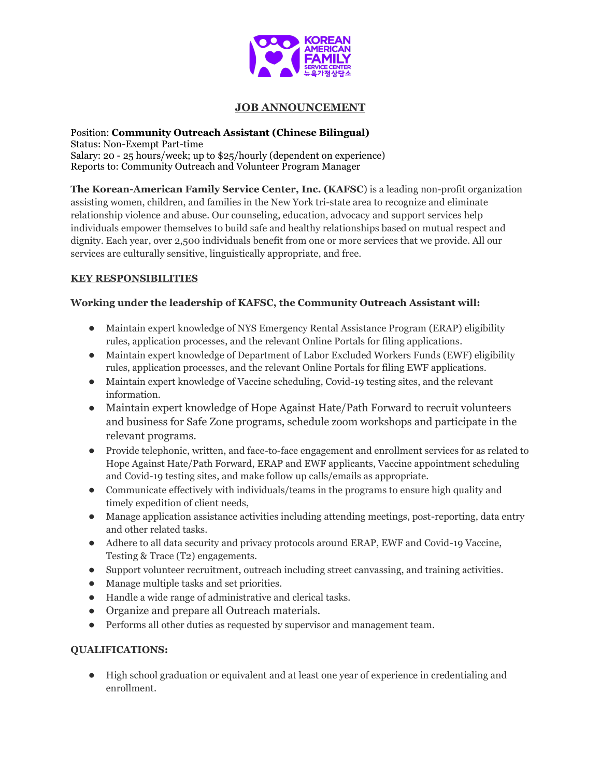

# **JOB ANNOUNCEMENT**

Position: **Community Outreach Assistant (Chinese Bilingual)** Status: Non-Exempt Part-time Salary: 20 - 25 hours/week; up to \$25/hourly (dependent on experience) Reports to: Community Outreach and Volunteer Program Manager

**The Korean-American Family Service Center, Inc. (KAFSC**) is a leading non-profit organization assisting women, children, and families in the New York tri-state area to recognize and eliminate relationship violence and abuse. Our counseling, education, advocacy and support services help individuals empower themselves to build safe and healthy relationships based on mutual respect and dignity. Each year, over 2,500 individuals benefit from one or more services that we provide. All our services are culturally sensitive, linguistically appropriate, and free.

## **KEY RESPONSIBILITIES**

## **Working under the leadership of KAFSC, the Community Outreach Assistant will:**

- Maintain expert knowledge of NYS Emergency Rental Assistance Program (ERAP) eligibility rules, application processes, and the relevant Online Portals for filing applications.
- Maintain expert knowledge of Department of Labor Excluded Workers Funds (EWF) eligibility rules, application processes, and the relevant Online Portals for filing EWF applications.
- Maintain expert knowledge of Vaccine scheduling, Covid-19 testing sites, and the relevant information.
- Maintain expert knowledge of Hope Against Hate/Path Forward to recruit volunteers and business for Safe Zone programs, schedule zoom workshops and participate in the relevant programs.
- Provide telephonic, written, and face-to-face engagement and enrollment services for as related to Hope Against Hate/Path Forward, ERAP and EWF applicants, Vaccine appointment scheduling and Covid-19 testing sites, and make follow up calls/emails as appropriate.
- Communicate effectively with individuals/teams in the programs to ensure high quality and timely expedition of client needs,
- Manage application assistance activities including attending meetings, post-reporting, data entry and other related tasks.
- Adhere to all data security and privacy protocols around ERAP, EWF and Covid-19 Vaccine, Testing & Trace (T2) engagements.
- Support volunteer recruitment, outreach including street canvassing, and training activities.
- Manage multiple tasks and set priorities.
- Handle a wide range of administrative and clerical tasks.
- Organize and prepare all Outreach materials.
- Performs all other duties as requested by supervisor and management team.

### **QUALIFICATIONS:**

● High school graduation or equivalent and at least one year of experience in credentialing and enrollment.